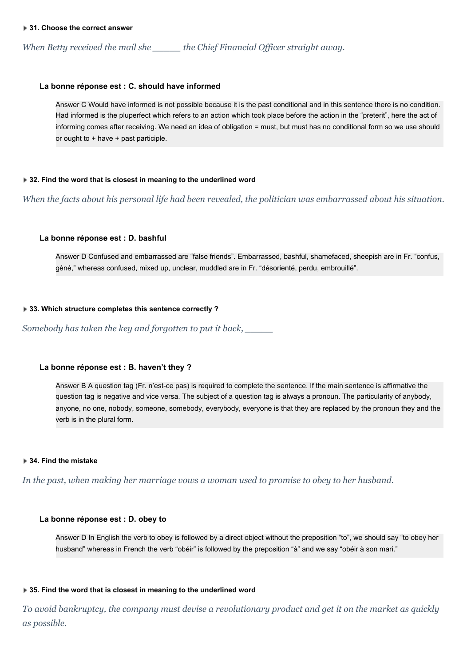*When Betty received the mail she \_\_\_\_\_ the Chief Financial Of icer straight away.*

# **La bonne réponse est : C. should have informed**

Answer C Would have informed is not possible because it is the past conditional and in this sentence there is no condition. Had informed is the pluperfect which refers to an action which took place before the action in the "preterit", here the act of informing comes after receiving. We need an idea of obligation = must, but must has no conditional form so we use should or ought to + have + past participle.

### **▶ 32. Find the word that is closest in meaning to the underlined word**

When the facts about his personal life had been revealed, the politician was embarrassed about his situation.

# **La bonne réponse est : D. bashful**

Answer D Confused and embarrassed are "false friends". Embarrassed, bashful, shamefaced, sheepish are in Fr. "confus, gêné," whereas confused, mixed up, unclear, muddled are in Fr. "désorienté, perdu, embrouillé".

### **33. Which structure completes this sentence correctly ?**

*Somebody has taken the key and forgotten to put it back, \_\_\_\_\_*

# **La bonne réponse est : B. haven't they ?**

Answer B A question tag (Fr. n'est-ce pas) is required to complete the sentence. If the main sentence is affirmative the question tag is negative and vice versa. The subject of a question tag is always a pronoun. The particularity of anybody, anyone, no one, nobody, someone, somebody, everybody, everyone is that they are replaced by the pronoun they and the verb is in the plural form.

# **34. Find the mistake**

*In the past, when making her marriage vows a woman used to promise to obey to her husband.*

#### **La bonne réponse est : D. obey to**

Answer D In English the verb to obey is followed by a direct object without the preposition "to", we should say "to obey her husband" whereas in French the verb "obéir" is followed by the preposition "à" and we say "obéir à son mari."

#### **▶ 35. Find the word that is closest in meaning to the underlined word**

To avoid bankruptcy, the company must devise a revolutionary product and get it on the market as quickly *as possible.*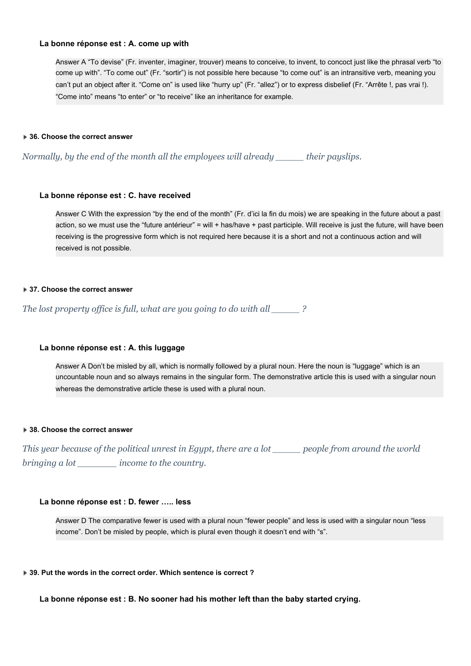# **La bonne réponse est : A. come up with**

Answer A "To devise" (Fr. inventer, imaginer, trouver) means to conceive, to invent, to concoct just like the phrasal verb "to come up with". "To come out" (Fr. "sortir") is not possible here because "to come out" is an intransitive verb, meaning you can't put an object after it. "Come on" is used like "hurry up" (Fr. "allez") or to express disbelief (Fr. "Arrête !, pas vrai !). "Come into" means "to enter" or "to receive" like an inheritance for example.

### **36. Choose the correct answer**

*Normally, by the end of the month all the employees will already \_\_\_\_\_ their payslips.*

# **La bonne réponse est : C. have received**

Answer C With the expression "by the end of the month" (Fr. d'ici la fin du mois) we are speaking in the future about a past action, so we must use the "future antérieur" = will + has/have + past participle. Will receive is just the future, will have been receiving is the progressive form which is not required here because it is a short and not a continuous action and will received is not possible.

# **37. Choose the correct answer**

*The lost property of ice is full, what are you going to do with all \_\_\_\_\_ ?*

# **La bonne réponse est : A. this luggage**

Answer A Don't be misled by all, which is normally followed by a plural noun. Here the noun is "luggage" which is an uncountable noun and so always remains in the singular form. The demonstrative article this is used with a singular noun whereas the demonstrative article these is used with a plural noun.

#### **38. Choose the correct answer**

This year because of the political unrest in Egypt, there are a lot \_\_\_\_\_ people from around the world *bringing a lot \_\_\_\_\_\_\_ income to the country.*

# **La bonne réponse est : D. fewer ….. less**

Answer D The comparative fewer is used with a plural noun "fewer people" and less is used with a singular noun "less income". Don't be misled by people, which is plural even though it doesn't end with "s".

#### **39. Put the words in the correct order. Which sentence is correct ?**

**La bonne réponse est : B. No sooner had his mother left than the baby started crying.**